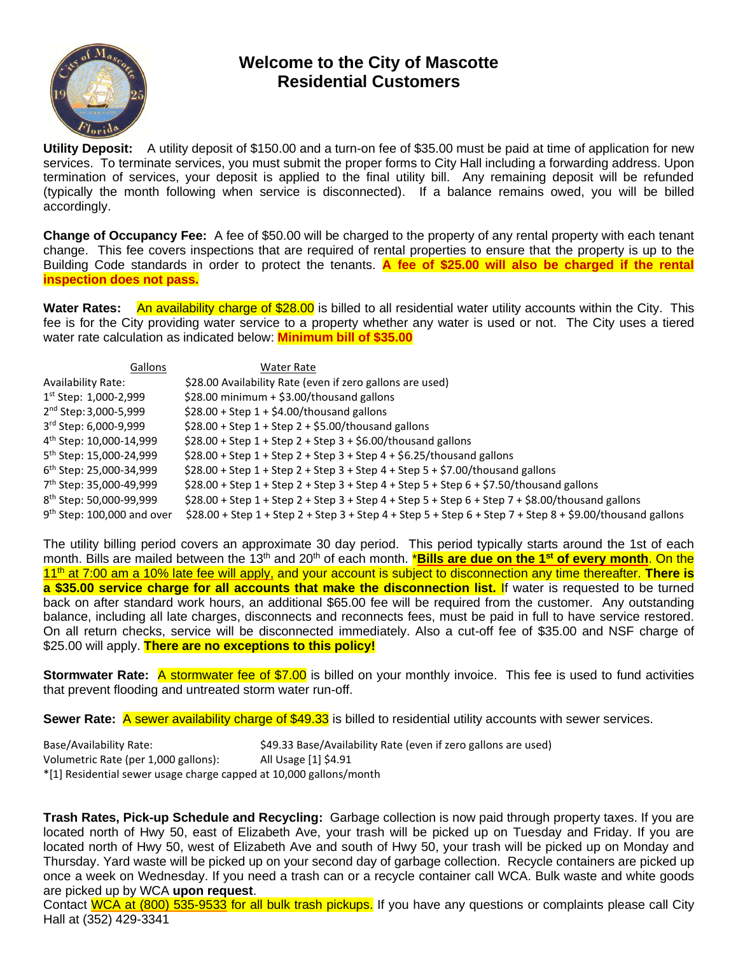

## **Welcome to the City of Mascotte Residential Customers**

**Utility Deposit:** A utility deposit of \$150.00 and a turn-on fee of \$35.00 must be paid at time of application for new services. To terminate services, you must submit the proper forms to City Hall including a forwarding address. Upon termination of services, your deposit is applied to the final utility bill. Any remaining deposit will be refunded (typically the month following when service is disconnected). If a balance remains owed, you will be billed accordingly.

**Change of Occupancy Fee:** A fee of \$50.00 will be charged to the property of any rental property with each tenant change. This fee covers inspections that are required of rental properties to ensure that the property is up to the Building Code standards in order to protect the tenants. **A fee of \$25.00 will also be charged if the rental inspection does not pass.**

**Water Rates:** An availability charge of \$28.00 is billed to all residential water utility accounts within the City. This fee is for the City providing water service to a property whether any water is used or not. The City uses a tiered water rate calculation as indicated below: **Minimum bill of \$35.00**

| Gallons                             | Water Rate                                                                                                |
|-------------------------------------|-----------------------------------------------------------------------------------------------------------|
| <b>Availability Rate:</b>           | \$28.00 Availability Rate (even if zero gallons are used)                                                 |
| $1st$ Step: 1,000-2,999             | \$28.00 minimum + \$3.00/thousand gallons                                                                 |
| 2 <sup>nd</sup> Step: 3,000-5,999   | $$28.00 + Step 1 + $4.00/thousand gallons$                                                                |
| 3rd Step: 6,000-9,999               | $$28.00 + Step 1 + Step 2 + $5.00/thousand gallons$                                                       |
| 4 <sup>th</sup> Step: 10,000-14,999 | $$28.00 + Step 1 + Step 2 + Step 3 + $6.00/thousand gallons$                                              |
| 5 <sup>th</sup> Step: 15,000-24,999 | $$28.00 + Step 1 + Step 2 + Step 3 + Step 4 + $6.25/thousand gallons$                                     |
| $6th$ Step: 25,000-34,999           | $$28.00 + Step 1 + Step 2 + Step 3 + Step 4 + Step 5 + $7.00/thousand gallons$                            |
| 7 <sup>th</sup> Step: 35,000-49,999 | $$28.00 + Step 1 + Step 2 + Step 3 + Step 4 + Step 5 + Step 6 + $7.50/thousand gallons$                   |
| 8 <sup>th</sup> Step: 50,000-99,999 | $$28.00 + Step 1 + Step 2 + Step 3 + Step 4 + Step 5 + Step 6 + Step 7 + $8.00/thousand gallons$          |
| $9th$ Step: 100,000 and over        | $$28.00 + Step 1 + Step 2 + Step 3 + Step 4 + Step 5 + Step 6 + Step 7 + Step 8 + $9.00/thousand gallons$ |

The utility billing period covers an approximate 30 day period. This period typically starts around the 1st of each month. Bills are mailed between the 13th and 20th of each month. \***Bills are due on the 1st of every month**. On the 11th at 7:00 am a 10% late fee will apply, and your account is subject to disconnection any time thereafter. **There is a \$35.00 service charge for all accounts that make the disconnection list.** If water is requested to be turned back on after standard work hours, an additional \$65.00 fee will be required from the customer. Any outstanding balance, including all late charges, disconnects and reconnects fees, must be paid in full to have service restored. On all return checks, service will be disconnected immediately. Also a cut-off fee of \$35.00 and NSF charge of \$25.00 will apply. **There are no exceptions to this policy!**

**Stormwater Rate:** A stormwater fee of \$7.00 is billed on your monthly invoice. This fee is used to fund activities that prevent flooding and untreated storm water run-off.

**Sewer Rate:** A sewer availability charge of \$49.33 is billed to residential utility accounts with sewer services.

Base/Availability Rate:  $$49.33$  Base/Availability Rate (even if zero gallons are used) Volumetric Rate (per 1,000 gallons): All Usage [1] \$4.91 \*[1] Residential sewer usage charge capped at 10,000 gallons/month

**Trash Rates, Pick-up Schedule and Recycling:** Garbage collection is now paid through property taxes. If you are located north of Hwy 50, east of Elizabeth Ave, your trash will be picked up on Tuesday and Friday. If you are located north of Hwy 50, west of Elizabeth Ave and south of Hwy 50, your trash will be picked up on Monday and Thursday. Yard waste will be picked up on your second day of garbage collection. Recycle containers are picked up once a week on Wednesday. If you need a trash can or a recycle container call WCA. Bulk waste and white goods are picked up by WCA **upon request**.

Contact WCA at (800) 535-9533 for all bulk trash pickups. If you have any questions or complaints please call City Hall at (352) 429-3341